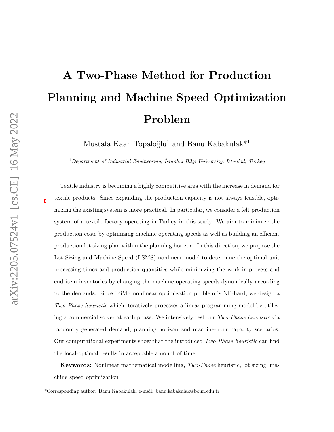# A Two-Phase Method for Production Planning and Machine Speed Optimization Problem

Mustafa Kaan Topaloğlu<sup>1</sup> and Banu Kabakulak<sup>\*1</sup>

 $1$ Department of Industrial Engineering, İstanbul Bilgi University, İstanbul, Turkey

Textile industry is becoming a highly competitive area with the increase in demand for textile products. Since expanding the production capacity is not always feasible, optimizing the existing system is more practical. In particular, we consider a felt production system of a textile factory operating in Turkey in this study. We aim to minimize the production costs by optimizing machine operating speeds as well as building an efficient production lot sizing plan within the planning horizon. In this direction, we propose the Lot Sizing and Machine Speed (LSMS) nonlinear model to determine the optimal unit processing times and production quantities while minimizing the work-in-process and end item inventories by changing the machine operating speeds dynamically according to the demands. Since LSMS nonlinear optimization problem is NP-hard, we design a Two-Phase heuristic which iteratively processes a linear programming model by utilizing a commercial solver at each phase. We intensively test our Two-Phase heuristic via randomly generated demand, planning horizon and machine-hour capacity scenarios. Our computational experiments show that the introduced Two-Phase heuristic can find the local-optimal results in acceptable amount of time.

Keywords: Nonlinear mathematical modelling, Two-Phase heuristic, lot sizing, machine speed optimization

<sup>\*</sup>Corresponding author: Banu Kabakulak, e-mail: banu.kabakulak@boun.edu.tr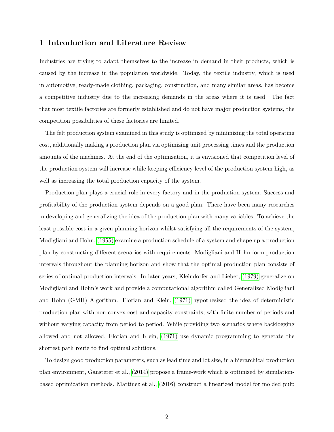### 1 Introduction and Literature Review

Industries are trying to adapt themselves to the increase in demand in their products, which is caused by the increase in the population worldwide. Today, the textile industry, which is used in automotive, ready-made clothing, packaging, construction, and many similar areas, has become a competitive industry due to the increasing demands in the areas where it is used. The fact that most textile factories are formerly established and do not have major production systems, the competition possibilities of these factories are limited.

The felt production system examined in this study is optimized by minimizing the total operating cost, additionally making a production plan via optimizing unit processing times and the production amounts of the machines. At the end of the optimization, it is envisioned that competition level of the production system will increase while keeping efficiency level of the production system high, as well as increasing the total production capacity of the system.

Production plan plays a crucial role in every factory and in the production system. Success and profitability of the production system depends on a good plan. There have been many researches in developing and generalizing the idea of the production plan with many variables. To achieve the least possible cost in a given planning horizon whilst satisfying all the requirements of the system, Modigliani and Hohn, [\(1955\)](#page-30-0) examine a production schedule of a system and shape up a production plan by constructing different scenarios with requirements. Modigliani and Hohn form production intervals throughout the planning horizon and show that the optimal production plan consists of series of optimal production intervals. In later years, Kleindorfer and Lieber, [\(1979\)](#page-29-0) generalize on Modigliani and Hohn's work and provide a computational algorithm called Generalized Modigliani and Hohn (GMH) Algorithm. Florian and Klein, [\(1971\)](#page-29-1) hypothesized the idea of deterministic production plan with non-convex cost and capacity constraints, with finite number of periods and without varying capacity from period to period. While providing two scenarios where backlogging allowed and not allowed, Florian and Klein, [\(1971\)](#page-29-1) use dynamic programming to generate the shortest path route to find optimal solutions.

To design good production parameters, such as lead time and lot size, in a hierarchical production plan environment, Gansterer et al., [\(2014\)](#page-29-2) propose a frame-work which is optimized by simulationbased optimization methods. Martínez et al.,  $(2016)$  construct a linearized model for molded pulp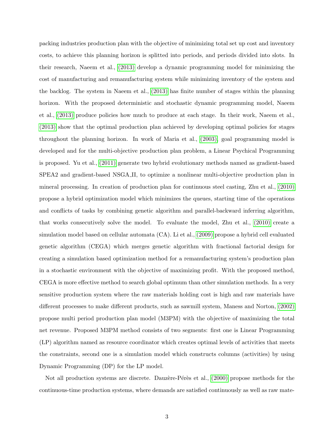packing industries production plan with the objective of minimizing total set up cost and inventory costs, to achieve this planning horizon is splitted into periods, and periods divided into slots. In their research, Naeem et al., [\(2013\)](#page-30-2) develop a dynamic programming model for minimizing the cost of manufacturing and remanufacturing system while minimizing inventory of the system and the backlog. The system in Naeem et al., [\(2013\)](#page-30-2) has finite number of stages within the planning horizon. With the proposed deterministic and stochastic dynamic programming model, Naeem et al., [\(2013\)](#page-30-2) produce policies how much to produce at each stage. In their work, Naeem et al., [\(2013\)](#page-30-2) show that the optimal production plan achieved by developing optimal policies for stages throughout the planning horizon. In work of Maria et al., [\(2003\),](#page-30-3) goal programming model is developed and for the multi-objective production plan problem, a Linear Psychical Programming is proposed. Yu et al., [\(2011\)](#page-31-0) generate two hybrid evolutionary methods named as gradient-based SPEA2 and gradient-based NSGA II, to optimize a nonlinear multi-objective production plan in mineral processing. In creation of production plan for continuous steel casting, Zhu et al., [\(2010\)](#page-31-1) propose a hybrid optimization model which minimizes the queues, starting time of the operations and conflicts of tasks by combining genetic algorithm and parallel-backward inferring algorithm, that works consecutively solve the model. To evaluate the model, Zhu et al., [\(2010\)](#page-31-1) create a simulation model based on cellular automata (CA). Li et al., [\(2009\)](#page-30-4) propose a hybrid cell evaluated genetic algorithm (CEGA) which merges genetic algorithm with fractional factorial design for creating a simulation based optimization method for a remanufacturing system's production plan in a stochastic environment with the objective of maximizing profit. With the proposed method, CEGA is more effective method to search global optimum than other simulation methods. In a very sensitive production system where the raw materials holding cost is high and raw materials have different processes to make different products, such as sawmill system, Maness and Norton, [\(2002\)](#page-30-5) propose multi period production plan model (M3PM) with the objective of maximizing the total net revenue. Proposed M3PM method consists of two segments: first one is Linear Programming (LP) algorithm named as resource coordinator which creates optimal levels of activities that meets the constraints, second one is a simulation model which constructs columns (activities) by using Dynamic Programming (DP) for the LP model.

Not all production systems are discrete. Dauzère-Pérès et al., [\(2000\)](#page-29-3) propose methods for the continuous-time production systems, where demands are satisfied continuously as well as raw mate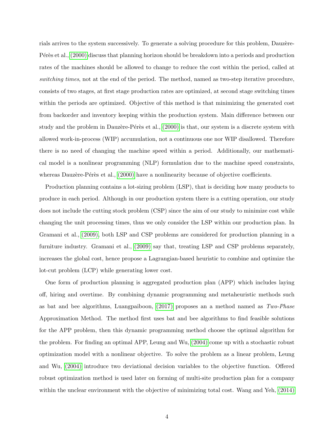rials arrives to the system successively. To generate a solving procedure for this problem, Dauzère-Pérès et al., [\(2000\)](#page-29-3) discuss that planning horizon should be breakdown into a periods and production rates of the machines should be allowed to change to reduce the cost within the period, called at switching times, not at the end of the period. The method, named as two-step iterative procedure, consists of two stages, at first stage production rates are optimized, at second stage switching times within the periods are optimized. Objective of this method is that minimizing the generated cost from backorder and inventory keeping within the production system. Main difference between our study and the problem in Dauzère-Pérès et al., [\(2000\)](#page-29-3) is that, our system is a discrete system with allowed work-in-process (WIP) accumulation, not a continuous one nor WIP disallowed. Therefore there is no need of changing the machine speed within a period. Additionally, our mathematical model is a nonlinear programming (NLP) formulation due to the machine speed constraints, whereas Dauzère-Pérès et al., [\(2000\)](#page-29-3) have a nonlinearity because of objective coefficients.

Production planning contains a lot-sizing problem (LSP), that is deciding how many products to produce in each period. Although in our production system there is a cutting operation, our study does not include the cutting stock problem (CSP) since the aim of our study to minimize cost while changing the unit processing times, thus we only consider the LSP within our production plan. In Gramani et al., [\(2009\),](#page-29-4) both LSP and CSP problems are considered for production planning in a furniture industry. Gramani et al., [\(2009\)](#page-29-4) say that, treating LSP and CSP problems separately, increases the global cost, hence propose a Lagrangian-based heuristic to combine and optimize the lot-cut problem (LCP) while generating lower cost.

One form of production planning is aggregated production plan (APP) which includes laying off, hiring and overtime. By combining dynamic programming and metaheuristic methods such as bat and bee algorithms, Luangpaiboon, [\(2017\)](#page-30-6) proposes an a method named as Two-Phase Approximation Method. The method first uses bat and bee algorithms to find feasible solutions for the APP problem, then this dynamic programming method choose the optimal algorithm for the problem. For finding an optimal APP, Leung and Wu, [\(2004\)](#page-30-7) come up with a stochastic robust optimization model with a nonlinear objective. To solve the problem as a linear problem, Leung and Wu, [\(2004\)](#page-30-7) introduce two deviational decision variables to the objective function. Offered robust optimization method is used later on forming of multi-site production plan for a company within the unclear environment with the objective of minimizing total cost. Wang and Yeh, [\(2014\)](#page-31-2)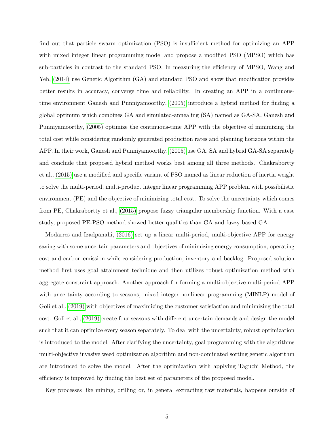find out that particle swarm optimization (PSO) is insufficient method for optimizing an APP with mixed integer linear programming model and propose a modified PSO (MPSO) which has sub-particles in contrast to the standard PSO. In measuring the efficiency of MPSO, Wang and Yeh, [\(2014\)](#page-31-2) use Genetic Algorithm (GA) and standard PSO and show that modification provides better results in accuracy, converge time and reliability. In creating an APP in a continuoustime environment Ganesh and Punniyamoorthy, [\(2005\)](#page-29-5) introduce a hybrid method for finding a global optimum which combines GA and simulated-annealing (SA) named as GA-SA. Ganesh and Punniyamoorthy, [\(2005\)](#page-29-5) optimize the continuous-time APP with the objective of minimizing the total cost while considering randomly generated production rates and planning horizons within the APP. In their work, Ganesh and Punniyamoorthy, [\(2005\)](#page-29-5) use GA, SA and hybrid GA-SA separately and conclude that proposed hybrid method works best among all three methods. Chakrabortty et al., [\(2015\)](#page-29-6) use a modified and specific variant of PSO named as linear reduction of inertia weight to solve the multi-period, multi-product integer linear programming APP problem with possibilistic environment (PE) and the objective of minimizing total cost. To solve the uncertainty which comes from PE, Chakrabortty et al., [\(2015\)](#page-29-6) propose fuzzy triangular membership function. With a case study, proposed PE-PSO method showed better qualities than GA and fuzzy based GA.

Modarres and Izadpanahi, [\(2016\)](#page-30-8) set up a linear multi-period, multi-objective APP for energy saving with some uncertain parameters and objectives of minimizing energy consumption, operating cost and carbon emission while considering production, inventory and backlog. Proposed solution method first uses goal attainment technique and then utilizes robust optimization method with aggregate constraint approach. Another approach for forming a multi-objective multi-period APP with uncertainty according to seasons, mixed integer nonlinear programming (MINLP) model of Goli et al., [\(2019\)](#page-29-7) with objectives of maximizing the customer satisfaction and minimizing the total cost. Goli et al., [\(2019\)](#page-29-7) create four seasons with different uncertain demands and design the model such that it can optimize every season separately. To deal with the uncertainty, robust optimization is introduced to the model. After clarifying the uncertainty, goal programming with the algorithms multi-objective invasive weed optimization algorithm and non-dominated sorting genetic algorithm are introduced to solve the model. After the optimization with applying Taguchi Method, the efficiency is improved by finding the best set of parameters of the proposed model.

Key processes like mining, drilling or, in general extracting raw materials, happens outside of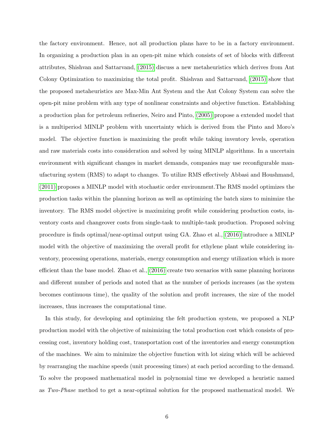the factory environment. Hence, not all production plans have to be in a factory environment. In organizing a production plan in an open-pit mine which consists of set of blocks with different attributes, Shishvan and Sattarvand, [\(2015\)](#page-31-3) discuss a new metaheuristics which derives from Ant Colony Optimization to maximizing the total profit. Shishvan and Sattarvand, [\(2015\)](#page-31-3) show that the proposed metaheuristics are Max-Min Ant System and the Ant Colony System can solve the open-pit mine problem with any type of nonlinear constraints and objective function. Establishing a production plan for petroleum refineries, Neiro and Pinto, [\(2005\)](#page-30-9) propose a extended model that is a multiperiod MINLP problem with uncertainty which is derived from the Pinto and Moro's model. The objective function is maximizing the profit while taking inventory levels, operation and raw materials costs into consideration and solved by using MINLP algorithms. In a uncertain environment with significant changes in market demands, companies may use reconfigurable manufacturing system (RMS) to adapt to changes. To utilize RMS effectively Abbasi and Houshmand, [\(2011\)](#page-29-8) proposes a MINLP model with stochastic order environment.The RMS model optimizes the production tasks within the planning horizon as well as optimizing the batch sizes to minimize the inventory. The RMS model objective is maximizing profit while considering production costs, inventory costs and changeover costs from single-task to multiple-task production. Proposed solving procedure is finds optimal/near-optimal output using GA. Zhao et al., [\(2016\)](#page-31-4) introduce a MINLP model with the objective of maximizing the overall profit for ethylene plant while considering inventory, processing operations, materials, energy consumption and energy utilization which is more efficient than the base model. Zhao et al., [\(2016\)](#page-31-4) create two scenarios with same planning horizons and different number of periods and noted that as the number of periods increases (as the system becomes continuous time), the quality of the solution and profit increases, the size of the model increases, thus increases the computational time.

In this study, for developing and optimizing the felt production system, we proposed a NLP production model with the objective of minimizing the total production cost which consists of processing cost, inventory holding cost, transportation cost of the inventories and energy consumption of the machines. We aim to minimize the objective function with lot sizing which will be achieved by rearranging the machine speeds (unit processing times) at each period according to the demand. To solve the proposed mathematical model in polynomial time we developed a heuristic named as Two-Phase method to get a near-optimal solution for the proposed mathematical model. We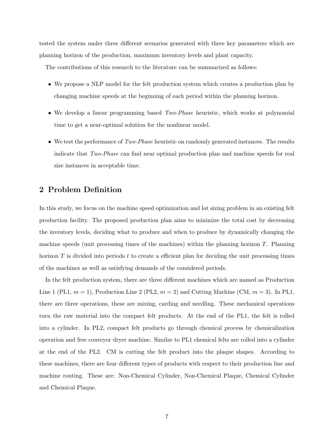tested the system under three different scenarios generated with three key parameters which are planning horizon of the production, maximum inventory levels and plant capacity.

The contributions of this research to the literature can be summarized as follows:

- We propose a NLP model for the felt production system which creates a production plan by changing machine speeds at the beginning of each period within the planning horizon.
- We develop a linear programming based *Two-Phase* heuristic, which works at polynomial time to get a near-optimal solution for the nonlinear model.
- We test the performance of  $Two-Phase$  heuristic on randomly generated instances. The results indicate that Two-Phase can find near optimal production plan and machine speeds for real size instances in acceptable time.

# 2 Problem Definition

In this study, we focus on the machine speed optimization and lot sizing problem in an existing felt production facility. The proposed production plan aims to minimize the total cost by decreasing the inventory levels, deciding what to produce and when to produce by dynamically changing the machine speeds (unit processing times of the machines) within the planning horizon  $T$ . Planning horizon  $T$  is divided into periods  $t$  to create a efficient plan for deciding the unit processing times of the machines as well as satisfying demands of the considered periods.

In the felt production system, there are three different machines which are named as Production Line 1 (PL1,  $m = 1$ ), Production Line 2 (PL2,  $m = 2$ ) and Cutting Machine (CM,  $m = 3$ ). In PL1. there are three operations, these are mixing, carding and needling. These mechanical operations turn the raw material into the compact felt products. At the end of the PL1, the felt is rolled into a cylinder. In PL2, compact felt products go through chemical process by chemicalization operation and free conveyor dryer machine. Similar to PL1 chemical felts are rolled into a cylinder at the end of the PL2. CM is cutting the felt product into the plaque shapes. According to these machines, there are four different types of products with respect to their production line and machine routing. These are: Non-Chemical Cylinder, Non-Chemical Plaque, Chemical Cylinder and Chemical Plaque.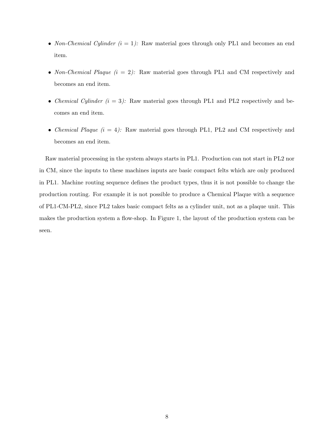- Non-Chemical Cylinder  $(i = 1)$ : Raw material goes through only PL1 and becomes an end item.
- Non-Chemical Plaque  $(i = 2)$ : Raw material goes through PL1 and CM respectively and becomes an end item.
- Chemical Cylinder  $(i = 3)$ : Raw material goes through PL1 and PL2 respectively and becomes an end item.
- Chemical Plaque  $(i = 4)$ : Raw material goes through PL1, PL2 and CM respectively and becomes an end item.

Raw material processing in the system always starts in PL1. Production can not start in PL2 nor in CM, since the inputs to these machines inputs are basic compact felts which are only produced in PL1. Machine routing sequence defines the product types, thus it is not possible to change the production routing. For example it is not possible to produce a Chemical Plaque with a sequence of PL1-CM-PL2, since PL2 takes basic compact felts as a cylinder unit, not as a plaque unit. This makes the production system a flow-shop. In Figure 1, the layout of the production system can be seen.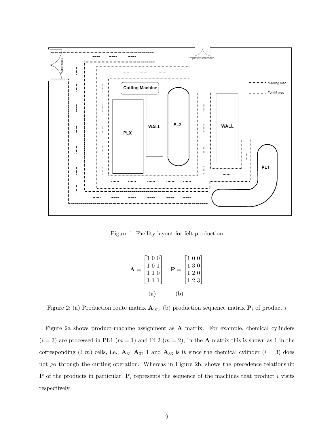

Figure 1: Facility layout for felt production

$$
\mathbf{A} = \begin{bmatrix} 1 & 0 & 0 \\ 1 & 0 & 1 \\ 1 & 1 & 0 \\ 1 & 1 & 1 \end{bmatrix} \quad \mathbf{P} = \begin{bmatrix} 1 & 0 & 0 \\ 1 & 3 & 0 \\ 1 & 2 & 0 \\ 1 & 2 & 3 \end{bmatrix}
$$
  
(a) (b)

Figure 2: (a) Production route matrix  $\mathbf{A}_{im}$ , (b) production sequence matrix  $\mathbf{P}_i$  of product i

Figure 2a shows product-machine assignment as A matrix. For example, chemical cylinders  $(i = 3)$  are processed in PL1  $(m = 1)$  and PL2  $(m = 2)$ , In the **A** matrix this is shown as 1 in the corresponding  $(i, m)$  cells, i.e.,  $\mathbf{A}_{31} \mathbf{A}_{32}$  1 and  $\mathbf{A}_{33}$  is 0, since the chemical cylinder  $(i = 3)$  does not go through the cutting operation. Whereas in Figure 2b, shows the precedence relationship **P** of the products in particular,  $P_i$  represents the sequence of the machines that product i visits respectively.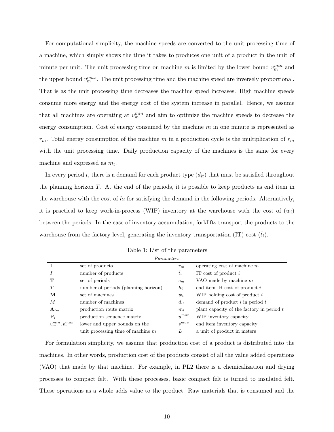For computational simplicity, the machine speeds are converted to the unit processing time of a machine, which simply shows the time it takes to produces one unit of a product in the unit of minute per unit. The unit processing time on machine m is limited by the lower bound  $v_m^{min}$  and the upper bound  $v_m^{max}$ . The unit processing time and the machine speed are inversely proportional. That is as the unit processing time decreases the machine speed increases. High machine speeds consume more energy and the energy cost of the system increase in parallel. Hence, we assume that all machines are operating at  $v_m^{min}$  and aim to optimize the machine speeds to decrease the energy consumption. Cost of energy consumed by the machine m in one minute is represented as  $r_m$ . Total energy consumption of the machine m in a production cycle is the multiplication of  $r_m$ with the unit processing time. Daily production capacity of the machines is the same for every machine and expressed as  $m_t$ .

In every period t, there is a demand for each product type  $(d_{it})$  that must be satisfied throughout the planning horizon  $T$ . At the end of the periods, it is possible to keep products as end item in the warehouse with the cost of  $h_i$  for satisfying the demand in the following periods. Alternatively, it is practical to keep work-in-process (WIP) inventory at the warehouse with the cost of  $(w_i)$ between the periods. In the case of inventory accumulation, forklifts transport the products to the warehouse from the factory level, generating the inventory transportation (IT) cost  $(\bar{t}_i)$ .

| Parameters             |                                      |           |                                             |  |  |
|------------------------|--------------------------------------|-----------|---------------------------------------------|--|--|
|                        | set of products                      | $r_m$     | operating cost of machine $m$               |  |  |
|                        | number of products                   | $t_i$     | IT cost of product $i$                      |  |  |
| т                      | set of periods                       | $c_m$     | VAO made by machine $m$                     |  |  |
| T                      | number of periods (planning horizon) | $h_i$     | end item IH cost of product $i$             |  |  |
| М                      | set of machines                      | $w_i$     | WIP holding cost of product $i$             |  |  |
| M                      | number of machines                   | $d_{it}$  | demand of product $i$ in period $t$         |  |  |
| ${\bf A}_{im}$         | production route matrix              | $m_t$     | plant capacity of the factory in period $t$ |  |  |
| ${\bf P}_i$            | production sequence matrix           | $u^{max}$ | WIP inventory capacity                      |  |  |
| $v_m^{min}, v_m^{max}$ | lower and upper bounds on the        | $s^{max}$ | end item inventory capacity                 |  |  |
|                        | unit processing time of machine $m$  | L         | a unit of product in meters                 |  |  |

Table 1: List of the parameters

For formulation simplicity, we assume that production cost of a product is distributed into the machines. In other words, production cost of the products consist of all the value added operations (VAO) that made by that machine. For example, in PL2 there is a chemicalization and drying processes to compact felt. With these processes, basic compact felt is turned to insulated felt. These operations as a whole adds value to the product. Raw materials that is consumed and the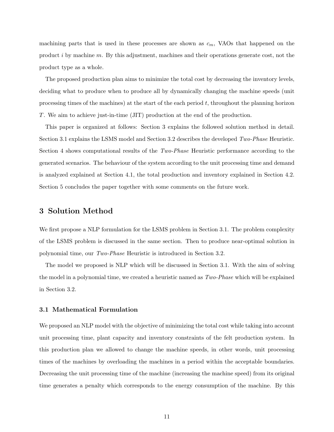machining parts that is used in these processes are shown as  $c_m$ , VAOs that happened on the product  $i$  by machine  $m$ . By this adjustment, machines and their operations generate cost, not the product type as a whole.

The proposed production plan aims to minimize the total cost by decreasing the inventory levels, deciding what to produce when to produce all by dynamically changing the machine speeds (unit processing times of the machines) at the start of the each period  $t$ , throughout the planning horizon T. We aim to achieve just-in-time (JIT) production at the end of the production.

This paper is organized at follows: Section 3 explains the followed solution method in detail. Section 3.1 explains the LSMS model and Section 3.2 describes the developed Two-Phase Heuristic. Section 4 shows computational results of the Two-Phase Heuristic performance according to the generated scenarios. The behaviour of the system according to the unit processing time and demand is analyzed explained at Section 4.1, the total production and inventory explained in Section 4.2. Section 5 concludes the paper together with some comments on the future work.

## 3 Solution Method

We first propose a NLP formulation for the LSMS problem in Section 3.1. The problem complexity of the LSMS problem is discussed in the same section. Then to produce near-optimal solution in polynomial time, our Two-Phase Heuristic is introduced in Section 3.2.

The model we proposed is NLP which will be discussed in Section 3.1. With the aim of solving the model in a polynomial time, we created a heuristic named as Two-Phase which will be explained in Section 3.2.

#### 3.1 Mathematical Formulation

We proposed an NLP model with the objective of minimizing the total cost while taking into account unit processing time, plant capacity and inventory constraints of the felt production system. In this production plan we allowed to change the machine speeds, in other words, unit processing times of the machines by overloading the machines in a period within the acceptable boundaries. Decreasing the unit processing time of the machine (increasing the machine speed) from its original time generates a penalty which corresponds to the energy consumption of the machine. By this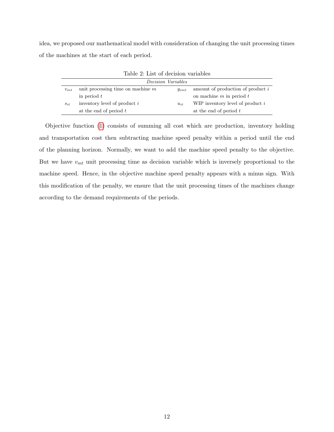idea, we proposed our mathematical model with consideration of changing the unit processing times of the machines at the start of each period.

| Table 2: List of decision variables |                                     |           |                                    |  |
|-------------------------------------|-------------------------------------|-----------|------------------------------------|--|
| <i>Decision Variables</i>           |                                     |           |                                    |  |
| $v_{mt}$                            | unit processing time on machine $m$ | $y_{imt}$ | amount of production of product i  |  |
|                                     | in period $t$                       |           | on machine $m$ in period $t$       |  |
| $S_{it}$                            | inventory level of product $i$      | $u_{it}$  | WIP inventory level of product $i$ |  |
|                                     | at the end of period $t$            |           | at the end of period $t$           |  |

Table 2: List of decision variable

Objective function [\(1\)](#page-12-0) consists of summing all cost which are production, inventory holding and transportation cost then subtracting machine speed penalty within a period until the end of the planning horizon. Normally, we want to add the machine speed penalty to the objective. But we have  $v_{mt}$  unit processing time as decision variable which is inversely proportional to the machine speed. Hence, in the objective machine speed penalty appears with a minus sign. With this modification of the penalty, we ensure that the unit processing times of the machines change according to the demand requirements of the periods.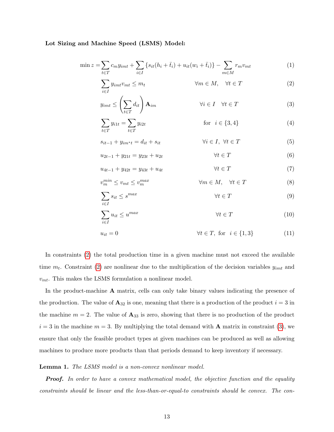#### Lot Sizing and Machine Speed (LSMS) Model:

<span id="page-12-10"></span><span id="page-12-9"></span><span id="page-12-7"></span>i∈I

$$
\min z = \sum_{t \in T} c_m y_{imt} + \sum_{i \in I} \left\{ s_{it}(h_i + \bar{t}_i) + u_{it}(w_i + \bar{t}_i) \right\} - \sum_{m \in M} r_m v_{mt} \tag{1}
$$

<span id="page-12-2"></span><span id="page-12-1"></span><span id="page-12-0"></span>
$$
\sum_{i \in I} y_{imt} v_{mt} \le m_t \qquad \qquad \forall m \in M, \quad \forall t \in T \tag{2}
$$

<span id="page-12-3"></span>
$$
y_{imt} \leq \left(\sum_{t \in T} d_{it}\right) \mathbf{A}_{im} \qquad \forall i \in I \quad \forall t \in T \tag{3}
$$

$$
\sum_{t \in T} y_{i1t} = \sum_{t \in T} y_{i2t} \qquad \text{for } i \in \{3, 4\} \tag{4}
$$

<span id="page-12-5"></span><span id="page-12-4"></span>
$$
s_{it-1} + y_{im^*t} = d_{it} + s_{it} \qquad \qquad \forall i \in I, \ \forall t \in T
$$
 (5)

<span id="page-12-6"></span>
$$
u_{2t-1} + y_{21t} = y_{23t} + u_{2t} \qquad \forall t \in T
$$
 (6)

<span id="page-12-8"></span>
$$
u_{4t-1} + y_{42t} = y_{43t} + u_{4t} \qquad \qquad \forall t \in T \tag{7}
$$

$$
v_m^{min} \le v_{mt} \le v_m^{max} \qquad \qquad \forall m \in M, \quad \forall t \in T \tag{8}
$$

$$
\sum_{i \in I} s_{it} \le s^{max} \qquad \qquad \forall t \in T \tag{9}
$$

$$
\sum_{i \in I} u_{it} \le u^{max} \qquad \qquad \forall t \in T \tag{10}
$$

$$
u_{it} = 0 \qquad \qquad \forall t \in T, \text{ for } i \in \{1, 3\} \tag{11}
$$

In constraints [\(2\)](#page-12-1) the total production time in a given machine must not exceed the available time  $m_t$ . Constraint [\(2\)](#page-12-1) are nonlinear due to the multiplication of the decision variables  $y_{imt}$  and  $v_{mt}$ . This makes the LSMS formulation a nonlinear model.

In the product-machine A matrix, cells can only take binary values indicating the presence of the production. The value of  $\mathbf{A}_{32}$  is one, meaning that there is a production of the product  $i = 3$  in the machine  $m = 2$ . The value of  $\mathbf{A}_{33}$  is zero, showing that there is no production of the product  $i = 3$  in the machine  $m = 3$ . By multiplying the total demand with **A** matrix in constraint [\(3\)](#page-12-2), we ensure that only the feasible product types at given machines can be produced as well as allowing machines to produce more products than that periods demand to keep inventory if necessary.

#### **Lemma 1.** The LSMS model is a non-convex nonlinear model.

**Proof.** In order to have a convex mathematical model, the objective function and the equality constraints should be linear and the less-than-or-equal-to constraints should be convex. The con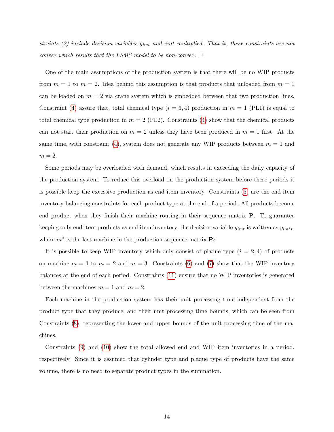straints (2) include decision variables  $y_{imt}$  and vmt multiplied. That is, these constraints are not convex which results that the LSMS model to be non-convex.  $\Box$ 

One of the main assumptions of the production system is that there will be no WIP products from  $m = 1$  to  $m = 2$ . Idea behind this assumption is that products that unloaded from  $m = 1$ can be loaded on  $m = 2$  via crane system which is embedded between that two production lines. Constraint [\(4\)](#page-12-3) assure that, total chemical type  $(i = 3, 4)$  production in  $m = 1$  (PL1) is equal to total chemical type production in  $m = 2$  (PL2). Constraints [\(4\)](#page-12-3) show that the chemical products can not start their production on  $m = 2$  unless they have been produced in  $m = 1$  first. At the same time, with constraint [\(4\)](#page-12-3), system does not generate any WIP products between  $m = 1$  and  $m=2.$ 

Some periods may be overloaded with demand, which results in exceeding the daily capacity of the production system. To reduce this overload on the production system before these periods it is possible keep the excessive production as end item inventory. Constraints [\(5\)](#page-12-4) are the end item inventory balancing constraints for each product type at the end of a period. All products become end product when they finish their machine routing in their sequence matrix P. To guarantee keeping only end item products as end item inventory, the decision variable  $y_{imt}$  is written as  $y_{im^*t}$ , where  $m^*$  is the last machine in the production sequence matrix  $P_i$ .

It is possible to keep WIP inventory which only consist of plaque type  $(i = 2, 4)$  of products on machine  $m = 1$  to  $m = 2$  and  $m = 3$ . Constraints [\(6\)](#page-12-5) and [\(7\)](#page-12-6) show that the WIP inventory balances at the end of each period. Constraints [\(11\)](#page-12-7) ensure that no WIP inventories is generated between the machines  $m = 1$  and  $m = 2$ .

Each machine in the production system has their unit processing time independent from the product type that they produce, and their unit processing time bounds, which can be seen from Constraints [\(8\)](#page-12-8), representing the lower and upper bounds of the unit processing time of the machines.

Constraints [\(9\)](#page-12-9) and [\(10\)](#page-12-10) show the total allowed end and WIP item inventories in a period, respectively. Since it is assumed that cylinder type and plaque type of products have the same volume, there is no need to separate product types in the summation.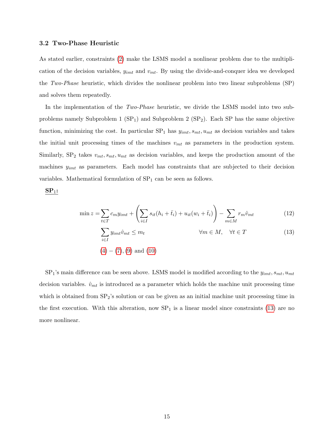#### 3.2 Two-Phase Heuristic

As stated earlier, constraints [\(2\)](#page-12-1) make the LSMS model a nonlinear problem due to the multiplication of the decision variables,  $y_{imt}$  and  $v_{mt}$ . By using the divide-and-conquer idea we developed the Two-Phase heuristic, which divides the nonlinear problem into two linear subproblems  $(SP)$ and solves them repeatedly.

In the implementation of the Two-Phase heuristic, we divide the LSMS model into two subproblems namely Subproblem 1  $(SP_1)$  and Subproblem 2  $(SP_2)$ . Each SP has the same objective function, minimizing the cost. In particular  $SP_1$  has  $y_{imt}, s_{mt}, u_{mt}$  as decision variables and takes the initial unit processing times of the machines  $v_{mt}$  as parameters in the production system. Similarly,  $SP_2$  takes  $v_{mt}$ ,  $s_{mt}$ ,  $u_{mt}$  as decision variables, and keeps the production amount of the machines  $y_{imt}$  as parameters. Each model has constraints that are subjected to their decision variables. Mathematical formulation of  $SP<sub>1</sub>$  can be seen as follows.

 $SP<sub>1</sub>$ :

$$
\min z = \sum_{t \in T} c_m y_{imt} + \left( \sum_{i \in I} s_{it} (h_i + \bar{t}_i) + u_{it} (w_i + \bar{t}_i) \right) - \sum_{m \in M} r_m \hat{v}_{mt}
$$
\n(12)

<span id="page-14-0"></span>
$$
\sum_{i \in I} y_{imt} \hat{v}_{mt} \le m_t \qquad \forall m \in M, \quad \forall t \in T
$$
\n(13)\n  
\n(4) - (7), (9) and (10)

 $SP<sub>1</sub>$ 's main difference can be seen above. LSMS model is modified according to the  $y_{imt}, s_{mt}, u_{mt}$ decision variables.  $\hat{v}_{mt}$  is introduced as a parameter which holds the machine unit processing time which is obtained from  $SP_2$ 's solution or can be given as an initial machine unit processing time in the first execution. With this alteration, now  $SP_1$  is a linear model since constraints [\(13\)](#page-14-0) are no more nonlinear.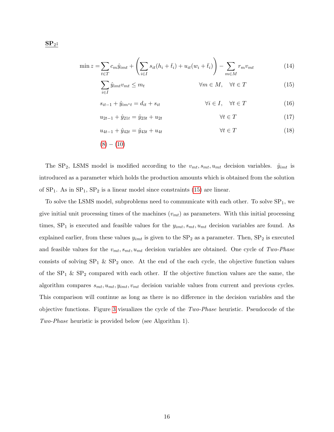$$
\min z = \sum_{t \in T} c_m \hat{y}_{imt} + \left( \sum_{i \in I} s_{it} (h_i + \bar{t}_i) + u_{it} (w_i + \bar{t}_i) \right) - \sum_{m \in M} r_m v_{mt}
$$
(14)

<span id="page-15-0"></span>
$$
\sum_{i \in I} \hat{y}_{imt} v_{mt} \le m_t \qquad \qquad \forall m \in M, \quad \forall t \in T \tag{15}
$$

$$
s_{it-1} + \hat{y}_{im^*t} = d_{it} + s_{it} \qquad \qquad \forall i \in I, \quad \forall t \in T
$$
 (16)

$$
u_{2t-1} + \hat{y}_{21t} = \hat{y}_{23t} + u_{2t} \qquad \forall t \in T
$$
 (17)

$$
u_{4t-1} + \hat{y}_{42t} = \hat{y}_{43t} + u_{4t} \qquad \qquad \forall t \in T
$$
\n(18)

$$
(8)-(10)
$$

The SP<sub>2</sub>, LSMS model is modified according to the  $v_{mt}$ ,  $s_{mt}$ ,  $u_{mt}$  decision variables.  $\hat{y}_{imt}$  is introduced as a parameter which holds the production amounts which is obtained from the solution of  $SP_1$ . As in  $SP_1$ ,  $SP_2$  is a linear model since constraints [\(15\)](#page-15-0) are linear.

To solve the LSMS model, subproblems need to communicate with each other. To solve  $SP<sub>1</sub>$ , we give initial unit processing times of the machines  $(v_{mt})$  as parameters. With this initial processing times,  $SP_1$  is executed and feasible values for the  $y_{imt}, s_{mt}, u_{mt}$  decision variables are found. As explained earlier, from these values  $y_{imt}$  is given to the  $SP_2$  as a parameter. Then,  $SP_2$  is executed and feasible values for the  $v_{mt}$ ,  $s_{mt}$ ,  $u_{mt}$  decision variables are obtained. One cycle of Two-Phase consists of solving  $SP_1 \& SP_2$  once. At the end of the each cycle, the objective function values of the  $SP_1 \& SP_2$  compared with each other. If the objective function values are the same, the algorithm compares  $s_{mt}$ ,  $u_{mt}$ ,  $y_{imt}$ ,  $v_{mt}$  decision variable values from current and previous cycles. This comparison will continue as long as there is no difference in the decision variables and the objective functions. Figure [3](#page-16-0) visualizes the cycle of the  $Two-Phase$  heuristic. Pseudocode of the Two-Phase heuristic is provided below (see Algorithm 1).

 $SP<sub>2</sub>$ :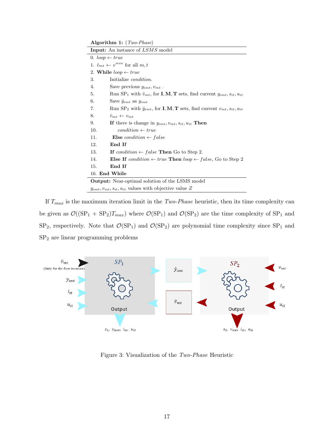Algorithm 1: (Two-Phase)

| <b>Input:</b> An instance of LSMS model                                                                                               |  |  |  |
|---------------------------------------------------------------------------------------------------------------------------------------|--|--|--|
| 0. $loop \leftarrow true$                                                                                                             |  |  |  |
| 1. $\hat{v}_{mt} \leftarrow v^{min}$ for all $m, t$                                                                                   |  |  |  |
| 2. While $loop \leftarrow true$                                                                                                       |  |  |  |
| 3.<br>Initialize <i>condition</i> .                                                                                                   |  |  |  |
| 4.<br>Save previous $y_{imt}, v_{mt}$ .                                                                                               |  |  |  |
| 5.<br>Run SP <sub>1</sub> with $\hat{v}_{mt}$ , for <b>I</b> , <b>M</b> , <b>T</b> sets, find current $y_{imt}, s_{it}, u_{it}$       |  |  |  |
| 6.<br>Save $\hat{y}_{imt}$ as $y_{imt}$                                                                                               |  |  |  |
| 7.<br>Run SP <sub>2</sub> with $\hat{y}_{imt}$ , for <b>I</b> , <b>M</b> , <b>T</b> sets, find current $v_{mt}$ , $s_{it}$ , $u_{it}$ |  |  |  |
| 8.<br>$\hat{v}_{mt} \leftarrow v_{mt}$                                                                                                |  |  |  |
| 9.<br>If there is change in $y_{imt}, v_{mt}, s_{it}, u_{it}$ Then                                                                    |  |  |  |
| 10.<br>$condition \leftarrow true$                                                                                                    |  |  |  |
| 11.<br>Else condition $\leftarrow$ false                                                                                              |  |  |  |
| 12.<br>End If                                                                                                                         |  |  |  |
| 13.<br>If condition $\leftarrow$ false Then Go to Step 2.                                                                             |  |  |  |
| Else If condition $\leftarrow true$ Then loop $\leftarrow false$ , Go to Step 2<br>14.                                                |  |  |  |
| End If<br>15.                                                                                                                         |  |  |  |
| 16. End While                                                                                                                         |  |  |  |
| <b>Output:</b> Near-optimal solution of the LSMS model                                                                                |  |  |  |
| $y_{imt}, v_{mt}, s_{it}, u_{it}$ values with objective value Z                                                                       |  |  |  |

If  $T_{max}$  is the maximum iteration limit in the  $Two-Phase$  heuristic, then its time complexity can be given as  $\mathcal{O}((SP_1 + SP_2)T_{max})$  where  $\mathcal{O}(SP_1)$  and  $\mathcal{O}(SP_2)$  are the time complexity of  $SP_1$  and  $SP_2$ , respectively. Note that  $\mathcal{O}(SP_1)$  and  $\mathcal{O}(SP_2)$  are polynomial time complexity since  $SP_1$  and  $\mathrm{SP}_2$  are linear programming problems

<span id="page-16-0"></span>

Figure 3: Visualization of the Two-Phase Heuristic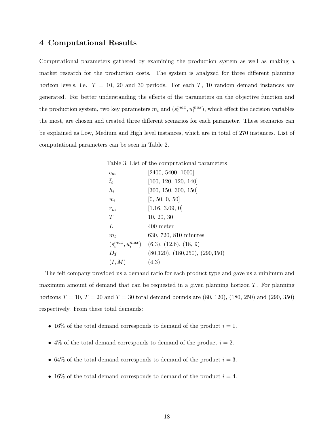## 4 Computational Results

Computational parameters gathered by examining the production system as well as making a market research for the production costs. The system is analyzed for three different planning horizon levels, i.e.  $T = 10$ , 20 and 30 periods. For each T, 10 random demand instances are generated. For better understanding the effects of the parameters on the objective function and the production system, two key parameters  $m_t$  and  $(s_i^{max}, u_i^{max})$ , which effect the decision variables the most, are chosen and created three different scenarios for each parameter. These scenarios can be explained as Low, Medium and High level instances, which are in total of 270 instances. List of computational parameters can be seen in Table 2.

|             | Table 3: List of the computational parameters   |
|-------------|-------------------------------------------------|
| $c_m$       | [2400, 5400, 1000]                              |
| $\bar{t}_i$ | [100, 120, 120, 140]                            |
| $h_i$       | [300, 150, 300, 150]                            |
| $w_i$       | [0, 50, 0, 50]                                  |
| $r_m$       | [1.16, 3.09, 0]                                 |
| T           | 10, 20, 30                                      |
| L           | 400 meter                                       |
| $m_t$       | 630, 720, 810 minutes                           |
|             | $(s_i^{max}, u_i^{max})$ (6,3), (12,6), (18, 9) |
| $D_T$       | (80,120), (180,250), (290,350)                  |
| (I, M)      | (4,3)                                           |

The felt company provided us a demand ratio for each product type and gave us a minimum and maximum amount of demand that can be requested in a given planning horizon T. For planning horizons  $T = 10, T = 20$  and  $T = 30$  total demand bounds are  $(80, 120)$ ,  $(180, 250)$  and  $(290, 350)$ respectively. From these total demands:

- 16% of the total demand corresponds to demand of the product  $i = 1$ .
- 4% of the total demand corresponds to demand of the product  $i = 2$ .
- 64% of the total demand corresponds to demand of the product  $i = 3$ .
- 16% of the total demand corresponds to demand of the product  $i = 4$ .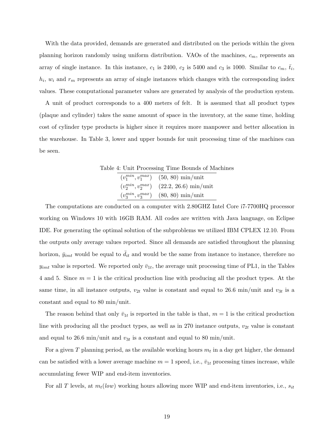With the data provided, demands are generated and distributed on the periods within the given planning horizon randomly using uniform distribution. VAOs of the machines,  $c_m$ , represents an array of single instance. In this instance,  $c_1$  is 2400,  $c_2$  is 5400 and  $c_3$  is 1000. Similar to  $c_m$ ,  $\bar{t}_i$ ,  $h_i, w_i$  and  $r_m$  represents an array of single instances which changes with the corresponding index values. These computational parameter values are generated by analysis of the production system.

A unit of product corresponds to a 400 meters of felt. It is assumed that all product types (plaque and cylinder) takes the same amount of space in the inventory, at the same time, holding cost of cylinder type products is higher since it requires more manpower and better allocation in the warehouse. In Table 3, lower and upper bounds for unit processing time of the machines can be seen.

| Table 4: Unit Processing Time Bounds of Machines |
|--------------------------------------------------|
| $(v_1^{min}, v_1^{max})$ (50, 80) min/unit       |
| $(v_2^{min}, v_2^{max})$ (22.2, 26.6) min/unit   |
| $(v_3^{min}, v_3^{max})$ (80, 80) min/unit       |

The computations are conducted on a computer with 2.80GHZ Intel Core i7-7700HQ processor working on Windows 10 with 16GB RAM. All codes are written with Java language, on Eclipse IDE. For generating the optimal solution of the subproblems we utilized IBM CPLEX 12.10. From the outputs only average values reported. Since all demands are satisfied throughout the planning horizon,  $\bar{y}_{imt}$  would be equal to  $d_{it}$  and would be the same from instance to instance, therefore no  $y_{imt}$  value is reported. We reported only  $\bar{v}_{1t}$ , the average unit processing time of PL1, in the Tables 4 and 5. Since  $m = 1$  is the critical production line with producing all the product types. At the same time, in all instance outputs,  $v_{2t}$  value is constant and equal to 26.6 min/unit and  $v_{3t}$  is a constant and equal to 80 min/unit.

The reason behind that only  $\bar{v}_{1t}$  is reported in the table is that,  $m = 1$  is the critical production line with producing all the product types, as well as in 270 instance outputs,  $v_{2t}$  value is constant and equal to 26.6 min/unit and  $v_{3t}$  is a constant and equal to 80 min/unit.

For a given T planning period, as the available working hours  $m_t$  in a day get higher, the demand can be satisfied with a lower average machine  $m = 1$  speed, i.e.,  $\bar{v}_{1t}$  processing times increase, while accumulating fewer WIP and end-item inventories.

For all T levels, at  $m_t(low)$  working hours allowing more WIP and end-item inventories, i.e.,  $s_{it}$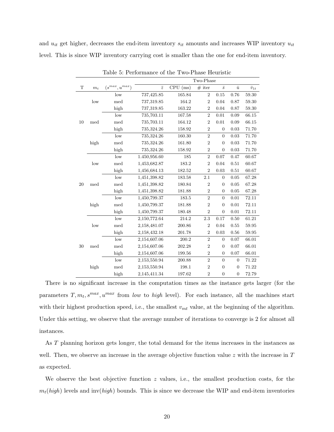and  $u_{it}$  get higher, decreases the end-item inventory  $s_{it}$  amounts and increases WIP inventory  $u_{it}$ level. This is since WIP inventory carrying cost is smaller than the one for end-item inventory.

|    |       |                           | Two-Phase      |            |                  |                  |                  |                |
|----|-------|---------------------------|----------------|------------|------------------|------------------|------------------|----------------|
| T  | $m_t$ | $(s^{max}$<br>$, u^{max}$ | $\overline{z}$ | $CPU$ (ms) | # iter           | $\bar{s}$        | $\bar{u}$        | $\bar{v}_{1t}$ |
| 10 |       | low                       | 737,425.85     | 165.84     | $\overline{2}$   | $0.15\,$         | 0.76             | 59.30          |
|    | low   | $_{\mathrm{med}}$         | 737,319.85     | 164.2      | $\overline{2}$   | 0.04             | 0.87             | 59.30          |
|    |       | high                      | 737,319.85     | 163.22     | $\overline{2}$   | 0.04             | 0.87             | 59.30          |
|    |       | low                       | 735,703.11     | 167.58     | $\overline{2}$   | 0.01             | 0.09             | 66.15          |
|    | med   | med                       | 735,703.11     | 164.12     | $\overline{2}$   | 0.01             | 0.09             | 66.15          |
|    |       | high                      | 735,324.26     | 158.92     | $\boldsymbol{2}$ | $\boldsymbol{0}$ | 0.03             | 71.70          |
|    |       | low                       | 735,324.26     | 160.30     | $\overline{2}$   | $\boldsymbol{0}$ | 0.03             | 71.70          |
|    | high  | med                       | 735,324.26     | 161.80     | $\overline{2}$   | $\boldsymbol{0}$ | 0.03             | 71.70          |
|    |       | high                      | 735,324.26     | 158.92     | $\sqrt{2}$       | $\overline{0}$   | 0.03             | 71.70          |
|    |       | low                       | 1.450,956.60   | 185        | $\overline{2}$   | 0.07             | 0.47             | 60.67          |
|    | low   | $_{\mathrm{med}}$         | 1,453,682.87   | 183.2      | $\overline{2}$   | 0.04             | 0.51             | 60.67          |
|    |       | high                      | 1,456,684.13   | 182.52     | $\overline{2}$   | 0.03             | 0.51             | 60.67          |
|    |       | low                       | 1,451,398.82   | 183.58     | 2.1              | $\boldsymbol{0}$ | 0.05             | 67.28          |
| 20 | med   | med                       | 1,451,398.82   | 180.84     | $\overline{2}$   | $\boldsymbol{0}$ | 0.05             | 67.28          |
|    |       | high                      | 1,451,398.82   | 181.88     | $\overline{2}$   | $\boldsymbol{0}$ | 0.05             | 67.28          |
|    | high  | low                       | 1,450,799.37   | 183.5      | $\overline{2}$   | $\overline{0}$   | 0.01             | 72.11          |
|    |       | med                       | 1,450,799.37   | 181.88     | $\overline{2}$   | $\overline{0}$   | 0.01             | 72.11          |
|    |       | high                      | 1,450,799.37   | 180.48     | $\overline{2}$   | $\boldsymbol{0}$ | 0.01             | 72.11          |
| 30 |       | low                       | 2,150,772.64   | 214.2      | 2.3              | 0.17             | 0.50             | 61.21          |
|    | low   | $_{\mathrm{med}}$         | 2,158,481.07   | 200.86     | $\overline{2}$   | 0.04             | 0.55             | 59.95          |
|    |       | high                      | 2,158,432.18   | 201.78     | $\sqrt{2}$       | $\rm 0.03$       | $0.56\,$         | 59.95          |
|    | med   | low                       | 2,154,607.06   | $200.2\,$  | $\sqrt{2}$       | $\boldsymbol{0}$ | 0.07             | 66.01          |
|    |       | med                       | 2,154,607.06   | 202.28     | $\overline{2}$   | $\overline{0}$   | 0.07             | 66.01          |
|    |       | high                      | 2,154,607.06   | 199.56     | $\overline{2}$   | $\boldsymbol{0}$ | 0.07             | 66.01          |
|    | high  | low                       | 2,153,550.94   | 200.88     | $\overline{2}$   | $\overline{0}$   | $\overline{0}$   | 71.22          |
|    |       | med                       | 2,153,550.94   | 198.1      | $\overline{2}$   | $\boldsymbol{0}$ | $\boldsymbol{0}$ | 71.22          |
|    |       | high                      | 2,145,411.34   | 197.62     | $\overline{2}$   | $\boldsymbol{0}$ | $\overline{0}$   | 72.79          |

Table 5: Performance of the Two-Phase Heuristic

There is no significant increase in the computation times as the instance gets larger (for the parameters  $T, m_t, s^{max}, u^{max}$  from low to high level). For each instance, all the machines start with their highest production speed, i.e., the smallest  $v_{mt}$  value, at the beginning of the algorithm. Under this setting, we observe that the average number of iterations to converge is 2 for almost all instances.

As T planning horizon gets longer, the total demand for the items increases in the instances as well. Then, we observe an increase in the average objective function value  $z$  with the increase in  $T$ as expected.

We observe the best objective function  $z$  values, i.e., the smallest production costs, for the  $m_t(high)$  levels and inv $(high)$  bounds. This is since we decrease the WIP and end-item inventories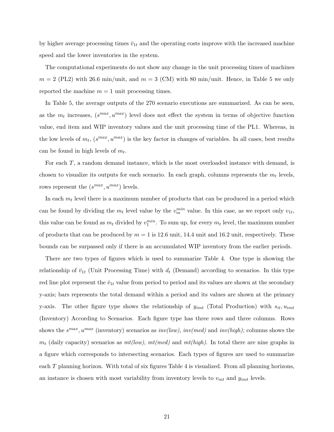by higher average processing times  $\bar{v}_{1t}$  and the operating costs improve with the increased machine speed and the lower inventories in the system.

The computational experiments do not show any change in the unit processing times of machines  $m = 2$  (PL2) with 26.6 min/unit, and  $m = 3$  (CM) with 80 min/unit. Hence, in Table 5 we only reported the machine  $m = 1$  unit processing times.

In Table 5, the average outputs of the 270 scenario executions are summarized. As can be seen, as the  $m_t$  increases,  $(s^{max}, u^{max})$  level does not effect the system in terms of objective function value, end item and WIP inventory values and the unit processing time of the PL1. Whereas, in the low levels of  $m_t$ ,  $(s^{max}, u^{max})$  is the key factor in changes of variables. In all cases, best results can be found in high levels of  $m_t$ .

For each  $T$ , a random demand instance, which is the most overloaded instance with demand, is chosen to visualize its outputs for each scenario. In each graph, columns represents the  $m_t$  levels, rows represent the  $(s^{max}, u^{max})$  levels.

In each  $m_t$  level there is a maximum number of products that can be produced in a period which can be found by dividing the  $m_t$  level value by the  $v_m^{min}$  value. In this case, as we report only  $v_{1t}$ , this value can be found as  $m_t$  divided by  $v_1^{min}$ . To sum up, for every  $m_t$  level, the maximum number of products that can be produced by  $m = 1$  is 12.6 unit, 14.4 unit and 16.2 unit, respectively. These bounds can be surpassed only if there is an accumulated WIP inventory from the earlier periods.

There are two types of figures which is used to summarize Table 4. One type is showing the relationship of  $\bar{v}_{1t}$  (Unit Processing Time) with  $d_t$  (Demand) according to scenarios. In this type red line plot represent the  $\bar{v}_{1t}$  value from period to period and its values are shown at the secondary y-axis; bars represents the total demand within a period and its values are shown at the primary y-axis. The other figure type shows the relationship of  $y_{imt}$  (Total Production) with  $s_{it}$ ,  $u_{imt}$ (Inventory) According to Scenarios. Each figure type has three rows and three columns. Rows shows the  $s^{max}$ ,  $u^{max}$  (inventory) scenarios as  $inv(low)$ ,  $inv(med)$  and  $inv(high)$ ; columns shows the  $m_t$  (daily capacity) scenarios as  $mt(low)$ ,  $mt(med)$  and  $mt(high)$ . In total there are nine graphs in a figure which corresponds to intersecting scenarios. Each types of figures are used to summarize each T planning horizon. With total of six figures Table 4 is visualized. From all planning horizons, an instance is chosen with most variability from inventory levels to  $v_{mt}$  and  $y_{imt}$  levels.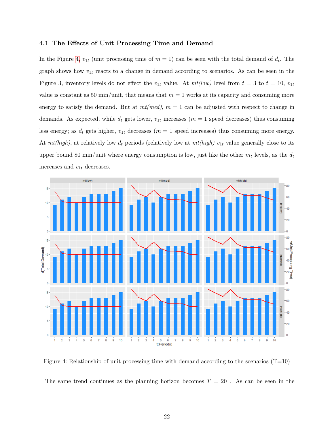#### 4.1 The Effects of Unit Processing Time and Demand

In the Figure [4,](#page-21-0)  $v_{1t}$  (unit processing time of  $m = 1$ ) can be seen with the total demand of  $d_t$ . The graph shows how  $v_{1t}$  reacts to a change in demand according to scenarios. As can be seen in the Figure 3, inventory levels do not effect the  $v_{1t}$  value. At  $mt(low)$  level from  $t = 3$  to  $t = 10$ ,  $v_{1t}$ value is constant as 50 min/unit, that means that  $m = 1$  works at its capacity and consuming more energy to satisfy the demand. But at  $mt(med)$ ,  $m = 1$  can be adjusted with respect to change in demands. As expected, while  $d_t$  gets lower,  $v_{1t}$  increases  $(m = 1$  speed decreases) thus consuming less energy; as  $d_t$  gets higher,  $v_{1t}$  decreases ( $m = 1$  speed increases) thus consuming more energy. At  $mt(high)$ , at relatively low  $d_t$  periods (relatively low at  $mt(high)$   $v_{1t}$  value generally close to its upper bound 80 min/unit where energy consumption is low, just like the other  $m_t$  levels, as the  $d_t$ increases and  $v_{1t}$  decreases.

<span id="page-21-0"></span>

Figure 4: Relationship of unit processing time with demand according to the scenarios  $(T=10)$ 

The same trend continues as the planning horizon becomes  $T = 20$ . As can be seen in the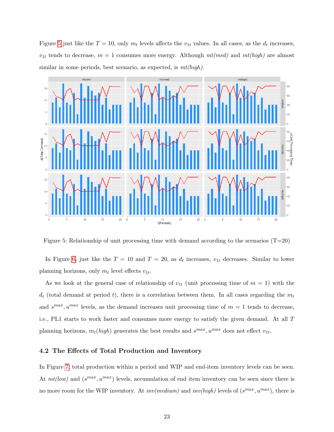Figure [5](#page-22-0) just like the  $T = 10$ , only  $m_t$  levels affects the  $v_{1t}$  values. In all cases, as the  $d_t$  increases,  $v_{1t}$  tends to decrease,  $m = 1$  consumes more energy. Although  $mt(med)$  and  $mt(high)$  are almost similar in some periods, best scenario, as expected, is  $mt(high)$ .

<span id="page-22-0"></span>

Figure 5: Relationship of unit processing time with demand according to the scenarios  $(T=20)$ 

In Figure [6,](#page-23-0) just like the  $T = 10$  and  $T = 20$ , as  $d_t$  increases,  $v_{1t}$  decreases. Similar to lower planning horizons, only  $m_t$  level effects  $v_{1t}$ .

As we look at the general case of relationship of  $v_{1t}$  (unit processing time of  $m = 1$ ) with the  $d_t$  (total demand at period t), there is a correlation between them. In all cases regarding the  $m_t$ and  $s^{max}$ ,  $u^{max}$  levels, as the demand increases unit processing time of  $m = 1$  tends to decrease, i.e., PL1 starts to work faster and consumes more energy to satisfy the given demand. At all T planning horizons,  $m_t(high)$  generates the best results and  $s^{max}$ ,  $u^{max}$  does not effect  $v_{1t}$ .

#### 4.2 The Effects of Total Production and Inventory

In Figure [7,](#page-24-0) total production within a period and WIP and end-item inventory levels can be seen. At  $mt(low)$  and  $(s^{max}, u^{max})$  levels, accumulation of end item inventory can be seen since there is no more room for the WIP inventory. At  $inv(medium)$  and  $inv(high)$  levels of  $(s^{max}, u^{max})$ , there is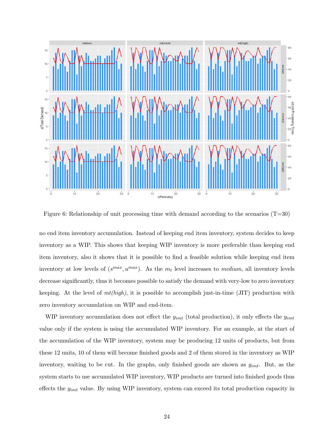<span id="page-23-0"></span>

Figure 6: Relationship of unit processing time with demand according to the scenarios  $(T=30)$ 

no end item inventory accumulation. Instead of keeping end item inventory, system decides to keep inventory as a WIP. This shows that keeping WIP inventory is more preferable than keeping end item inventory, also it shows that it is possible to find a feasible solution while keeping end item inventory at low levels of  $(s^{max}, u^{max})$ . As the  $m_t$  level increases to medium, all inventory levels decrease significantly, thus it becomes possible to satisfy the demand with very-low to zero inventory keeping. At the level of  $mt(high)$ , it is possible to accomplish just-in-time (JIT) production with zero inventory accumulation on WIP and end-item.

WIP inventory accumulation does not effect the  $y_{imt}$  (total production), it only effects the  $y_{imt}$ value only if the system is using the accumulated WIP inventory. For an example, at the start of the accumulation of the WIP inventory, system may be producing 12 units of products, but from these 12 units, 10 of them will become finished goods and 2 of them stored in the inventory as WIP inventory, waiting to be cut. In the graphs, only finished goods are shown as  $y_{imt}$ . But, as the system starts to use accumulated WIP inventory, WIP products are turned into finished goods thus effects the  $y_{imt}$  value. By using WIP inventory, system can exceed its total production capacity in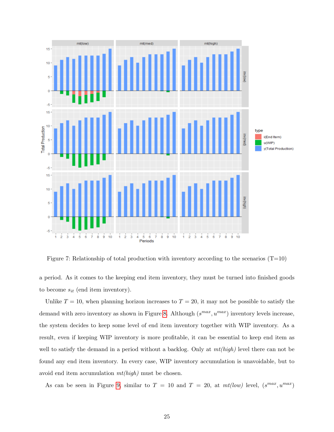<span id="page-24-0"></span>

Figure 7: Relationship of total production with inventory according to the scenarios  $(T=10)$ 

a period. As it comes to the keeping end item inventory, they must be turned into finished goods to become  $s_{it}$  (end item inventory).

Unlike  $T = 10$ , when planning horizon increases to  $T = 20$ , it may not be possible to satisfy the demand with zero inventory as shown in Figure [8.](#page-25-0) Although  $(s^{max}, u^{max})$  inventory levels increase, the system decides to keep some level of end item inventory together with WIP inventory. As a result, even if keeping WIP inventory is more profitable, it can be essential to keep end item as well to satisfy the demand in a period without a backlog. Only at  $mt(high)$  level there can not be found any end item inventory. In every case, WIP inventory accumulation is unavoidable, but to avoid end item accumulation  $mt(high)$  must be chosen.

As can be seen in Figure [9,](#page-26-0) similar to  $T = 10$  and  $T = 20$ , at  $mt(low)$  level,  $(s^{max}, u^{max})$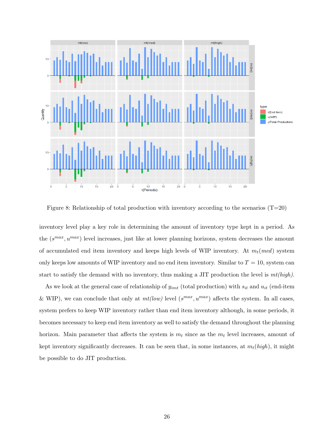<span id="page-25-0"></span>

Figure 8: Relationship of total production with inventory according to the scenarios  $(T=20)$ 

inventory level play a key role in determining the amount of inventory type kept in a period. As the  $(s^{max}, u^{max})$  level increases, just like at lower planning horizons, system decreases the amount of accumulated end item inventory and keeps high levels of WIP inventory. At  $m_t(med)$  system only keeps low amounts of WIP inventory and no end item inventory. Similar to  $T = 10$ , system can start to satisfy the demand with no inventory, thus making a JIT production the level is  $mt(high)$ .

As we look at the general case of relationship of  $y_{imt}$  (total production) with  $s_{it}$  and  $u_{it}$  (end-item & WIP), we can conclude that only at  $mt(low)$  level  $(s^{max}, u^{max})$  affects the system. In all cases, system prefers to keep WIP inventory rather than end item inventory although, in some periods, it becomes necessary to keep end item inventory as well to satisfy the demand throughout the planning horizon. Main parameter that affects the system is  $m_t$  since as the  $m_t$  level increases, amount of kept inventory significantly decreases. It can be seen that, in some instances, at  $m_t(hiqh)$ , it might be possible to do JIT production.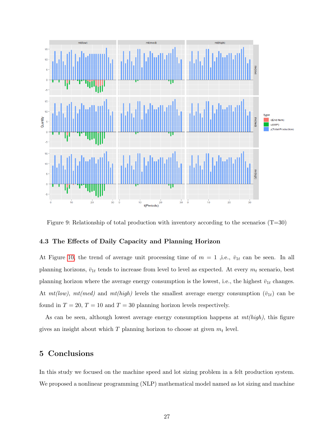<span id="page-26-0"></span>

Figure 9: Relationship of total production with inventory according to the scenarios  $(T=30)$ 

#### 4.3 The Effects of Daily Capacity and Planning Horizon

At Figure [10,](#page-27-0) the trend of average unit processing time of  $m = 1$ , i.e.,  $\bar{v}_{1t}$  can be seen. In all planning horizons,  $\bar{v}_{1t}$  tends to increase from level to level as expected. At every  $m_t$  scenario, best planning horizon where the average energy consumption is the lowest, i.e., the highest  $\bar{v}_{1t}$  changes. At  $mt(low)$ ,  $mt(med)$  and  $mt(high)$  levels the smallest average energy consumption  $(\bar{v}_{1t})$  can be found in  $T = 20$ ,  $T = 10$  and  $T = 30$  planning horizon levels respectively.

As can be seen, although lowest average energy consumption happens at  $mt(high)$ , this figure gives an insight about which  $T$  planning horizon to choose at given  $m_t$  level.

# 5 Conclusions

In this study we focused on the machine speed and lot sizing problem in a felt production system. We proposed a nonlinear programming (NLP) mathematical model named as lot sizing and machine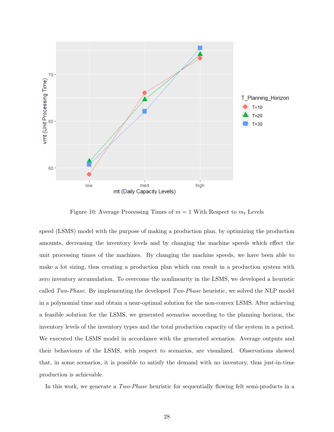<span id="page-27-0"></span>

Figure 10: Average Processing Times of  $m = 1$  With Respect to  $m_t$  Levels

speed (LSMS) model with the purpose of making a production plan, by optimizing the production amounts, decreasing the inventory levels and by changing the machine speeds which effect the unit processing times of the machines. By changing the machine speeds, we have been able to make a lot sizing, thus creating a production plan which can result in a production system with zero inventory accumulation. To overcome the nonlinearity in the LSMS, we developed a heuristic called Two-Phase. By implementing the developed Two-Phase heuristic, we solved the NLP model in a polynomial time and obtain a near-optimal solution for the non-convex LSMS. After achieving a feasible solution for the LSMS, we generated scenarios according to the planning horizon, the inventory levels of the inventory types and the total production capacity of the system in a period. We executed the LSMS model in accordance with the generated scenarios. Average outputs and their behaviours of the LSMS, with respect to scenarios, are visualized. Observations showed that, in some scenarios, it is possible to satisfy the demand with no inventory, thus just-in-time production is achievable.

In this work, we generate a  $Two-Phase$  heuristic for sequentially flowing felt semi-products in a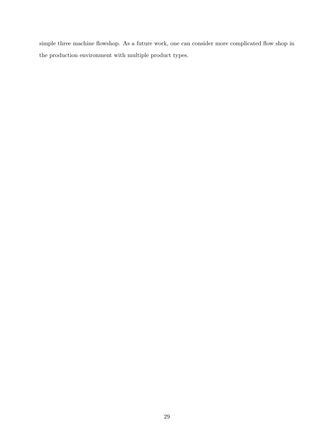simple three machine flowshop. As a future work, one can consider more complicated flow shop in the production environment with multiple product types.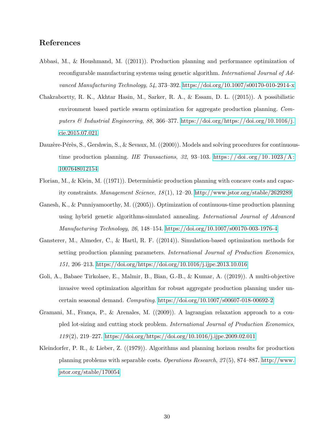# References

- <span id="page-29-8"></span>Abbasi, M., & Houshmand, M. ((2011)). Production planning and performance optimization of reconfigurable manufacturing systems using genetic algorithm. International Journal of Advanced Manufacturing Technology, 54, 373–392.<https://doi.org/10.1007/s00170-010-2914-x>
- <span id="page-29-6"></span>Chakrabortty, R. K., Akhtar Hasin, M., Sarker, R. A., & Essam, D. L. ((2015)). A possibilistic environment based particle swarm optimization for aggregate production planning. Computers & Industrial Engineering, 88, 366–377. [https://doi.org/https://doi.org/10.1016/j.](https://doi.org/https://doi.org/10.1016/j.cie.2015.07.021) [cie.2015.07.021](https://doi.org/https://doi.org/10.1016/j.cie.2015.07.021)
- <span id="page-29-3"></span>Dauzère-Pérès, S., Gershwin, S., & Sevaux, M.  $((2000))$ . Models and solving procedures for continuoustime production planning. IIE Transactions, 32, 93–103. https://doi.org/10.1023/A: [1007648012154](https://doi.org/10.1023/A:1007648012154)
- <span id="page-29-1"></span>Florian, M., & Klein, M. ((1971)). Deterministic production planning with concave costs and capacity constraints. *Management Science*,  $18(1)$ , 12–20.<http://www.jstor.org/stable/2629289>
- <span id="page-29-5"></span>Ganesh, K., & Punniyamoorthy, M. ((2005)). Optimization of continuous-time production planning using hybrid genetic algorithms-simulated annealing. International Journal of Advanced Manufacturing Technology, 26, 148–154.<https://doi.org/10.1007/s00170-003-1976-4>
- <span id="page-29-2"></span>Gansterer, M., Almeder, C., & Hartl, R. F. ((2014)). Simulation-based optimization methods for setting production planning parameters. International Journal of Production Economics, 151, 206–213.<https://doi.org/https://doi.org/10.1016/j.ijpe.2013.10.016>
- <span id="page-29-7"></span>Goli, A., Babaee Tirkolaee, E., Malmir, B., Bian, G.-B., & Kumar, A. ((2019)). A multi-objective invasive weed optimization algorithm for robust aggregate production planning under uncertain seasonal demand. Computing.<https://doi.org/10.1007/s00607-018-00692-2>
- <span id="page-29-4"></span>Gramani, M., França, P., & Arenales, M.  $((2009))$ . A lagrangian relaxation approach to a coupled lot-sizing and cutting stock problem. International Journal of Production Economics, 119 (2), 219–227.<https://doi.org/https://doi.org/10.1016/j.ijpe.2009.02.011>
- <span id="page-29-0"></span>Kleindorfer, P. R., & Lieber, Z. ((1979)). Algorithms and planning horizon results for production planning problems with separable costs. Operations Research, 27 (5), 874–887. [http://www.](http://www.jstor.org/stable/170054) [jstor.org/stable/170054](http://www.jstor.org/stable/170054)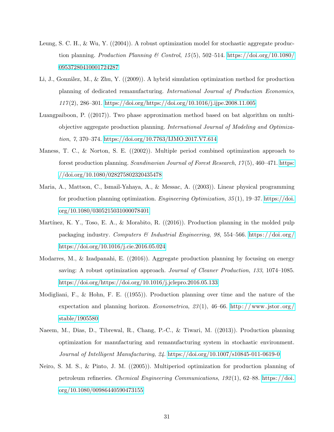- <span id="page-30-7"></span>Leung, S. C. H., & Wu, Y. ((2004)). A robust optimization model for stochastic aggregate production planning. Production Planning & Control, 15(5), 502–514. [https://doi.org/10.1080/](https://doi.org/10.1080/09537280410001724287) [09537280410001724287](https://doi.org/10.1080/09537280410001724287)
- <span id="page-30-4"></span>Li, J., González, M., & Zhu, Y.  $((2009))$ . A hybrid simulation optimization method for production planning of dedicated remanufacturing. International Journal of Production Economics, 117 (2), 286–301.<https://doi.org/https://doi.org/10.1016/j.ijpe.2008.11.005>
- <span id="page-30-6"></span>Luangpaiboon, P. ((2017)). Two phase approximation method based on bat algorithm on multiobjective aggregate production planning. International Journal of Modeling and Optimization, 7, 370–374.<https://doi.org/10.7763/IJMO.2017.V7.614>
- <span id="page-30-5"></span>Maness, T. C., & Norton, S. E. ((2002)). Multiple period combined optimization approach to forest production planning. Scandinavian Journal of Forest Research, 17(5), 460–471. [https:](https://doi.org/10.1080/028275802320435478) [//doi.org/10.1080/028275802320435478](https://doi.org/10.1080/028275802320435478)
- <span id="page-30-3"></span>Maria, A., Mattson, C., Ismail-Yahaya, A., & Messac, A. ((2003)). Linear physical programming for production planning optimization. Engineering Optimization,  $35(1)$ ,  $19-37$ . [https://doi.](https://doi.org/10.1080/0305215031000078401) [org/10.1080/0305215031000078401](https://doi.org/10.1080/0305215031000078401)
- <span id="page-30-1"></span>Martínez, K. Y., Toso, E. A., & Morabito, R.  $((2016))$ . Production planning in the molded pulp packaging industry. Computers & Industrial Engineering, 98, 554–566. [https://doi.org/](https://doi.org/https://doi.org/10.1016/j.cie.2016.05.024) [https://doi.org/10.1016/j.cie.2016.05.024](https://doi.org/https://doi.org/10.1016/j.cie.2016.05.024)
- <span id="page-30-8"></span>Modarres, M., & Izadpanahi, E.  $((2016))$ . Aggregate production planning by focusing on energy saving: A robust optimization approach. Journal of Cleaner Production, 133, 1074–1085. <https://doi.org/https://doi.org/10.1016/j.jclepro.2016.05.133>
- <span id="page-30-0"></span>Modigliani, F., & Hohn, F. E. ((1955)). Production planning over time and the nature of the expectation and planning horizon. *Econometrica*, 23(1), 46–66. http://www.jstor.org/ [stable/1905580](http://www.jstor.org/stable/1905580)
- <span id="page-30-2"></span>Naeem, M., Dias, D., Tibrewal, R., Chang, P.-C., & Tiwari, M. ((2013)). Production planning optimization for manufacturing and remanufacturing system in stochastic environment. Journal of Intelligent Manufacturing, 24.<https://doi.org/10.1007/s10845-011-0619-0>
- <span id="page-30-9"></span>Neiro, S. M. S., & Pinto, J. M. ((2005)). Multiperiod optimization for production planning of petroleum refineries. *Chemical Engineering Communications*,  $192(1)$ ,  $62-88$ . [https://doi.](https://doi.org/10.1080/00986440590473155) [org/10.1080/00986440590473155](https://doi.org/10.1080/00986440590473155)